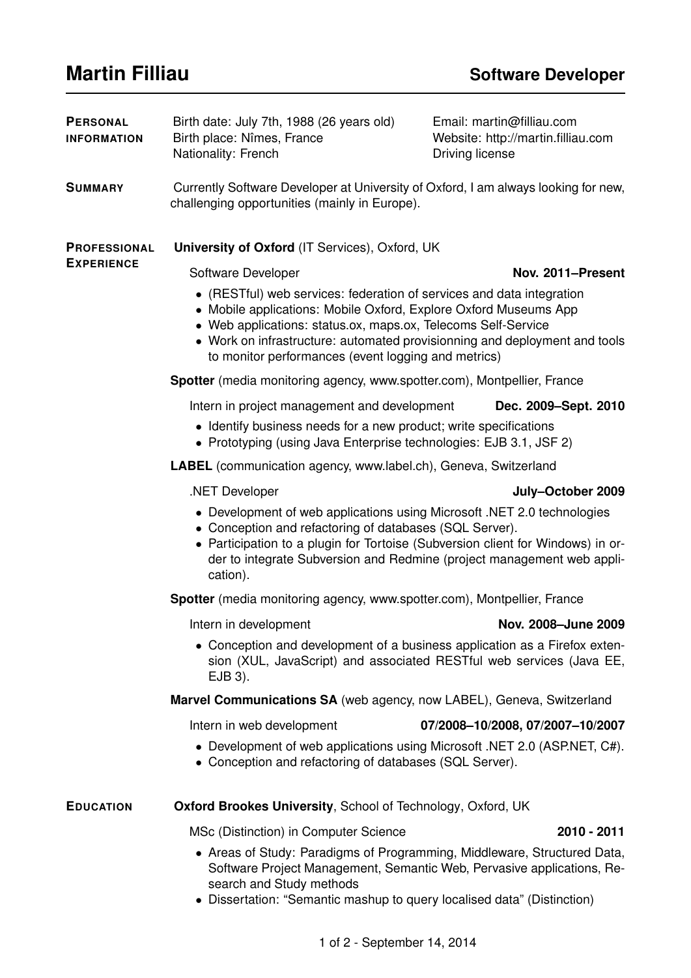| <b>PERSONAL</b><br><b>INFORMATION</b>    | Birth date: July 7th, 1988 (26 years old)<br>Birth place: Nîmes, France<br>Nationality: French                                                                                                                                                                                                                                                  | Email: martin@filliau.com<br>Website: http://martin.filliau.com<br>Driving license |
|------------------------------------------|-------------------------------------------------------------------------------------------------------------------------------------------------------------------------------------------------------------------------------------------------------------------------------------------------------------------------------------------------|------------------------------------------------------------------------------------|
| <b>SUMMARY</b>                           | Currently Software Developer at University of Oxford, I am always looking for new,<br>challenging opportunities (mainly in Europe).                                                                                                                                                                                                             |                                                                                    |
| <b>PROFESSIONAL</b><br><b>EXPERIENCE</b> | University of Oxford (IT Services), Oxford, UK                                                                                                                                                                                                                                                                                                  |                                                                                    |
|                                          | Software Developer                                                                                                                                                                                                                                                                                                                              | Nov. 2011-Present                                                                  |
|                                          | • (RESTful) web services: federation of services and data integration<br>• Mobile applications: Mobile Oxford, Explore Oxford Museums App<br>• Web applications: status.ox, maps.ox, Telecoms Self-Service<br>• Work on infrastructure: automated provisionning and deployment and tools<br>to monitor performances (event logging and metrics) |                                                                                    |
|                                          | Spotter (media monitoring agency, www.spotter.com), Montpellier, France                                                                                                                                                                                                                                                                         |                                                                                    |
|                                          | Intern in project management and development                                                                                                                                                                                                                                                                                                    | Dec. 2009-Sept. 2010                                                               |
|                                          | • Identify business needs for a new product; write specifications<br>• Prototyping (using Java Enterprise technologies: EJB 3.1, JSF 2)                                                                                                                                                                                                         |                                                                                    |
|                                          | <b>LABEL</b> (communication agency, www.label.ch), Geneva, Switzerland                                                                                                                                                                                                                                                                          |                                                                                    |
|                                          | .NET Developer                                                                                                                                                                                                                                                                                                                                  | July-October 2009                                                                  |
|                                          | • Development of web applications using Microsoft .NET 2.0 technologies<br>• Conception and refactoring of databases (SQL Server).<br>• Participation to a plugin for Tortoise (Subversion client for Windows) in or-<br>der to integrate Subversion and Redmine (project management web appli-<br>cation).                                     |                                                                                    |
|                                          | Spotter (media monitoring agency, www.spotter.com), Montpellier, France                                                                                                                                                                                                                                                                         |                                                                                    |
|                                          | Intern in development                                                                                                                                                                                                                                                                                                                           | Nov. 2008-June 2009                                                                |
|                                          | • Conception and development of a business application as a Firefox exten-<br>sion (XUL, JavaScript) and associated RESTful web services (Java EE,<br>EJB 3).                                                                                                                                                                                   |                                                                                    |
|                                          | <b>Marvel Communications SA</b> (web agency, now LABEL), Geneva, Switzerland                                                                                                                                                                                                                                                                    |                                                                                    |
|                                          | Intern in web development                                                                                                                                                                                                                                                                                                                       | 07/2008-10/2008, 07/2007-10/2007                                                   |
|                                          | • Development of web applications using Microsoft .NET 2.0 (ASP.NET, C#).<br>• Conception and refactoring of databases (SQL Server).                                                                                                                                                                                                            |                                                                                    |
| <b>EDUCATION</b>                         | <b>Oxford Brookes University, School of Technology, Oxford, UK</b>                                                                                                                                                                                                                                                                              |                                                                                    |
|                                          | MSc (Distinction) in Computer Science                                                                                                                                                                                                                                                                                                           | 2010 - 2011                                                                        |
|                                          | • Areas of Study: Paradigms of Programming, Middleware, Structured Data,<br>Software Project Management, Semantic Web, Pervasive applications, Re-<br>search and Study methods                                                                                                                                                                  |                                                                                    |

• Dissertation: "Semantic mashup to query localised data" (Distinction)